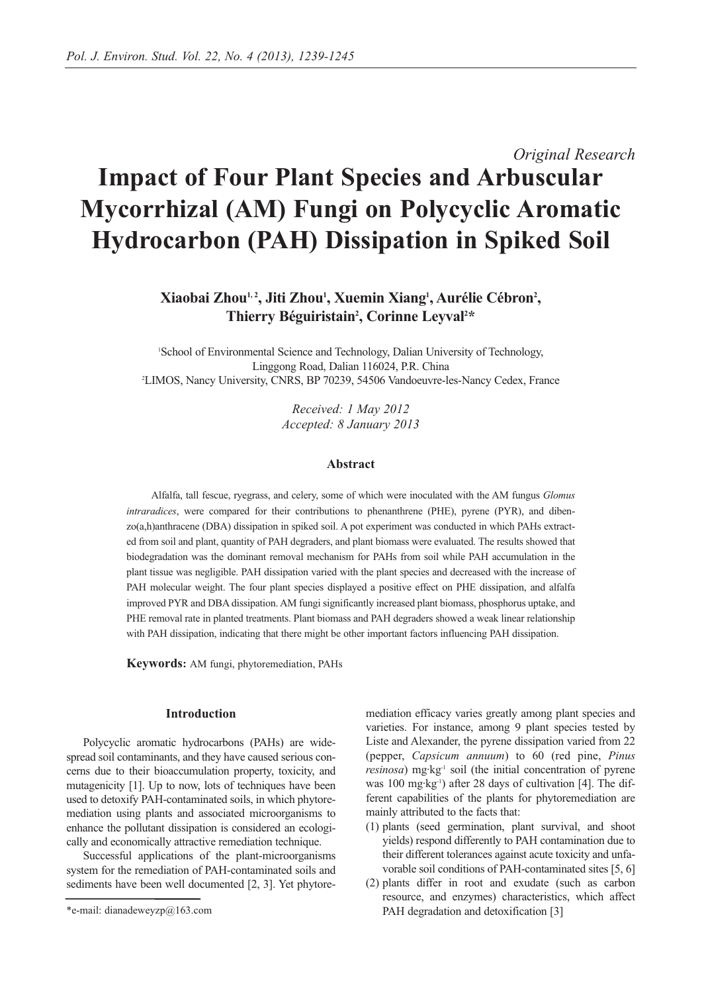# *Original Research* **Impact of Four Plant Species and Arbuscular Mycorrhizal (AM) Fungi on Polycyclic Aromatic Hydrocarbon (PAH) Dissipation in Spiked Soil**

# **Xiaobai Zhou1, 2, Jiti Zhou1 , Xuemin Xiang1 , Aurélie Cébron2 ,**  Thierry Béguiristain<sup>2</sup>, Corinne Leyval<sup>2\*</sup>

1 School of Environmental Science and Technology, Dalian University of Technology, Linggong Road, Dalian 116024, P.R. China 2 LIMOS, Nancy University, CNRS, BP 70239, 54506 Vandoeuvre-les-Nancy Cedex, France

> *Received: 1 May 2012 Accepted: 8 January 2013*

#### **Abstract**

Alfalfa, tall fescue, ryegrass, and celery, some of which were inoculated with the AM fungus *Glomus intraradices*, were compared for their contributions to phenanthrene (PHE), pyrene (PYR), and dibenzo(a,h)anthracene (DBA) dissipation in spiked soil. A pot experiment was conducted in which PAHs extracted from soil and plant, quantity of PAH degraders, and plant biomass were evaluated. The results showed that biodegradation was the dominant removal mechanism for PAHs from soil while PAH accumulation in the plant tissue was negligible. PAH dissipation varied with the plant species and decreased with the increase of PAH molecular weight. The four plant species displayed a positive effect on PHE dissipation, and alfalfa improved PYR and DBA dissipation. AM fungi significantly increased plant biomass, phosphorus uptake, and PHE removal rate in planted treatments. Plant biomass and PAH degraders showed a weak linear relationship with PAH dissipation, indicating that there might be other important factors influencing PAH dissipation.

**Keywords:** AM fungi, phytoremediation, PAHs

#### **Introduction**

Polycyclic aromatic hydrocarbons (PAHs) are widespread soil contaminants, and they have caused serious concerns due to their bioaccumulation property, toxicity, and mutagenicity [1]. Up to now, lots of techniques have been used to detoxify PAH-contaminated soils, in which phytoremediation using plants and associated microorganisms to enhance the pollutant dissipation is considered an ecologically and economically attractive remediation technique.

Successful applications of the plant-microorganisms system for the remediation of PAH-contaminated soils and sediments have been well documented [2, 3]. Yet phytoremediation efficacy varies greatly among plant species and varieties. For instance, among 9 plant species tested by Liste and Alexander, the pyrene dissipation varied from 22 (pepper, *Capsicum annuum*) to 60 (red pine, *Pinus resinosa*) mg·kg<sup>-1</sup> soil (the initial concentration of pyrene was 100 mg·kg-1) after 28 days of cultivation [4]. The different capabilities of the plants for phytoremediation are mainly attributed to the facts that:

- (1) plants (seed germination, plant survival, and shoot yields) respond differently to PAH contamination due to their different tolerances against acute toxicity and unfavorable soil conditions of PAH-contaminated sites [5, 6]
- (2) plants differ in root and exudate (such as carbon resource, and enzymes) characteristics, which affect PAH degradation and detoxification [3]

<sup>\*</sup>e-mail: dianadeweyzp@163.com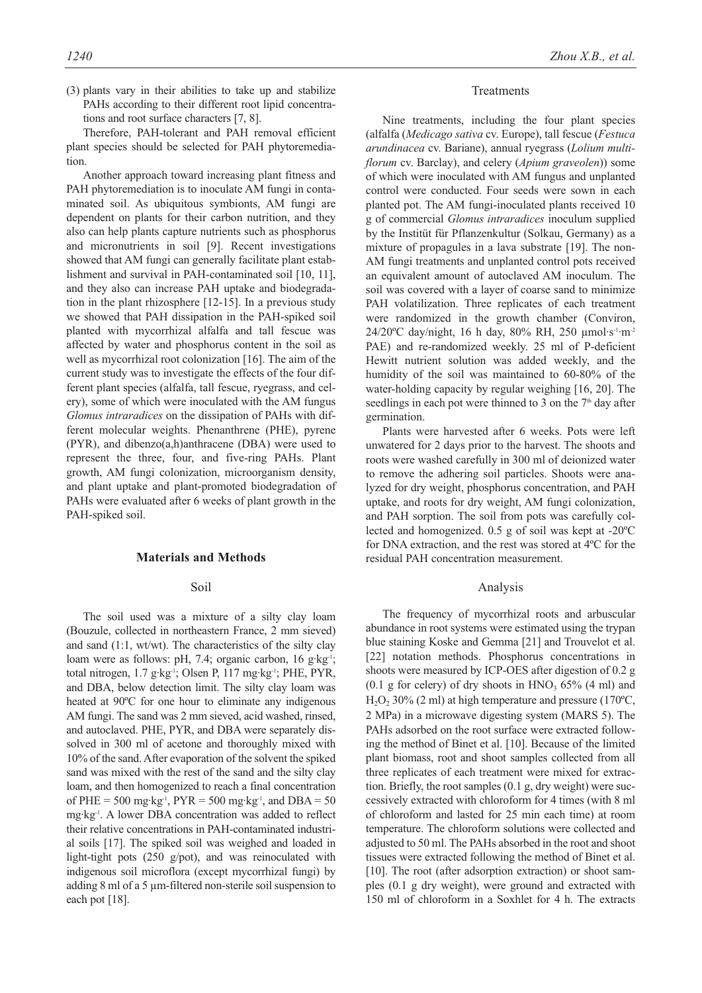(3) plants vary in their abilities to take up and stabilize PAHs according to their different root lipid concentrations and root surface characters [7, 8].

Therefore, PAH-tolerant and PAH removal efficient plant species should be selected for PAH phytoremediation.

Another approach toward increasing plant fitness and PAH phytoremediation is to inoculate AM fungi in contaminated soil. As ubiquitous symbionts, AM fungi are dependent on plants for their carbon nutrition, and they also can help plants capture nutrients such as phosphorus and micronutrients in soil [9]. Recent investigations showed that AM fungi can generally facilitate plant establishment and survival in PAH-contaminated soil [10, 11], and they also can increase PAH uptake and biodegradation in the plant rhizosphere [12-15]. In a previous study we showed that PAH dissipation in the PAH-spiked soil planted with mycorrhizal alfalfa and tall fescue was affected by water and phosphorus content in the soil as well as mycorrhizal root colonization [16]. The aim of the current study was to investigate the effects of the four different plant species (alfalfa, tall fescue, ryegrass, and celery), some of which were inoculated with the AM fungus *Glomus intraradices* on the dissipation of PAHs with different molecular weights. Phenanthrene (PHE), pyrene (PYR), and dibenzo(a,h)anthracene (DBA) were used to represent the three, four, and five-ring PAHs. Plant growth, AM fungi colonization, microorganism density, and plant uptake and plant-promoted biodegradation of PAHs were evaluated after 6 weeks of plant growth in the PAH-spiked soil.

#### **Materials and Methods**

#### Soil

The soil used was a mixture of a silty clay loam (Bouzule, collected in northeastern France, 2 mm sieved) and sand (1:1, wt/wt). The characteristics of the silty clay loam were as follows: pH, 7.4; organic carbon, 16 g·kg-1; total nitrogen, 1.7 g·kg<sup>-1</sup>; Olsen P, 117 mg·kg<sup>-1</sup>; PHE, PYR, and DBA, below detection limit. The silty clay loam was heated at 90ºC for one hour to eliminate any indigenous AM fungi. The sand was 2 mm sieved, acid washed, rinsed, and autoclaved. PHE, PYR, and DBA were separately dissolved in 300 ml of acetone and thoroughly mixed with 10% of the sand. After evaporation of the solvent the spiked sand was mixed with the rest of the sand and the silty clay loam, and then homogenized to reach a final concentration of PHE =  $500 \text{ mg} \cdot \text{kg}^{-1}$ ,  $P \text{Y} \text{R} = 500 \text{ mg} \cdot \text{kg}^{-1}$ , and  $D \text{B} \text{A} = 50$ mg·kg-1. A lower DBA concentration was added to reflect their relative concentrations in PAH-contaminated industrial soils [17]. The spiked soil was weighed and loaded in light-tight pots (250 g/pot), and was reinoculated with indigenous soil microflora (except mycorrhizal fungi) by adding 8 ml of a 5 µm-filtered non-sterile soil suspension to each pot [18].

#### **Treatments**

Nine treatments, including the four plant species (alfalfa (*Medicago sativa* cv. Europe), tall fescue (*Festuca arundinacea* cv. Bariane), annual ryegrass (*Lolium multiflorum* cv. Barclay), and celery (*Apium graveolen*)) some of which were inoculated with AM fungus and unplanted control were conducted. Four seeds were sown in each planted pot. The AM fungi-inoculated plants received 10 g of commercial *Glomus intraradices* inoculum supplied by the Institüt für Pflanzenkultur (Solkau, Germany) as a mixture of propagules in a lava substrate [19]. The non-AM fungi treatments and unplanted control pots received an equivalent amount of autoclaved AM inoculum. The soil was covered with a layer of coarse sand to minimize PAH volatilization. Three replicates of each treatment were randomized in the growth chamber (Conviron,  $24/20^{\circ}$ C day/night, 16 h day, 80% RH, 250  $\mu$ mol·s<sup>-1</sup>·m<sup>-2</sup> PAE) and re-randomized weekly. 25 ml of P-deficient Hewitt nutrient solution was added weekly, and the humidity of the soil was maintained to 60-80% of the water-holding capacity by regular weighing [16, 20]. The seedlings in each pot were thinned to 3 on the  $7<sup>th</sup>$  day after germination.

Plants were harvested after 6 weeks. Pots were left unwatered for 2 days prior to the harvest. The shoots and roots were washed carefully in 300 ml of deionized water to remove the adhering soil particles. Shoots were analyzed for dry weight, phosphorus concentration, and PAH uptake, and roots for dry weight, AM fungi colonization, and PAH sorption. The soil from pots was carefully collected and homogenized. 0.5 g of soil was kept at -20ºC for DNA extraction, and the rest was stored at 4ºC for the residual PAH concentration measurement.

#### Analysis

The frequency of mycorrhizal roots and arbuscular abundance in root systems were estimated using the trypan blue staining Koske and Gemma [21] and Trouvelot et al. [22] notation methods. Phosphorus concentrations in shoots were measured by ICP-OES after digestion of 0.2 g (0.1 g for celery) of dry shoots in  $HNO<sub>3</sub> 65%$  (4 ml) and  $H<sub>2</sub>O<sub>2</sub>$  30% (2 ml) at high temperature and pressure (170°C, 2 MPa) in a microwave digesting system (MARS 5). The PAHs adsorbed on the root surface were extracted following the method of Binet et al. [10]. Because of the limited plant biomass, root and shoot samples collected from all three replicates of each treatment were mixed for extraction. Briefly, the root samples (0.1 g, dry weight) were successively extracted with chloroform for 4 times (with 8 ml of chloroform and lasted for 25 min each time) at room temperature. The chloroform solutions were collected and adjusted to 50 ml. The PAHs absorbed in the root and shoot tissues were extracted following the method of Binet et al. [10]. The root (after adsorption extraction) or shoot samples (0.1 g dry weight), were ground and extracted with 150 ml of chloroform in a Soxhlet for 4 h. The extracts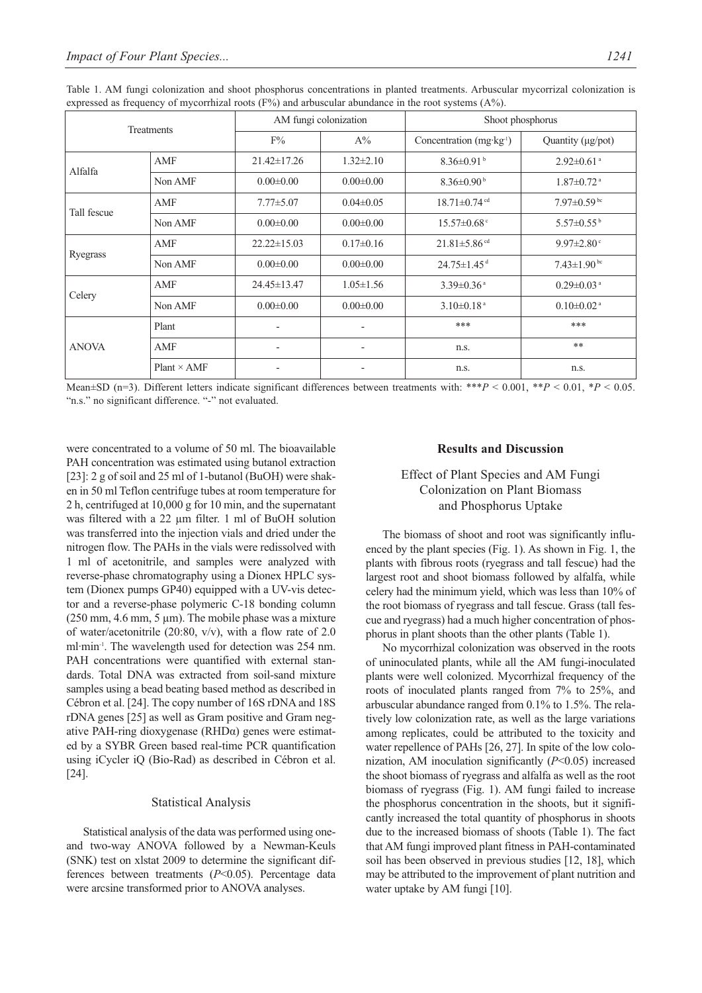| Treatments   |                    |                   | AM fungi colonization    | Shoot phosphorus                |                               |  |
|--------------|--------------------|-------------------|--------------------------|---------------------------------|-------------------------------|--|
|              |                    | $F\%$             | $A\%$                    | Concentration $(mg \, kg^{-1})$ | Quantity (µg/pot)             |  |
| Alfalfa      | AMF                | $21.42 \pm 17.26$ | $1.32 \pm 2.10$          | $8.36 \pm 0.91$ <sup>b</sup>    | $2.92 \pm 0.61$ <sup>a</sup>  |  |
|              | Non AMF            | $0.00 \pm 0.00$   | $0.00 \pm 0.00$          | $8.36 \pm 0.90^{\mathrm{b}}$    | $1.87 \pm 0.72$ <sup>a</sup>  |  |
| Tall fescue  | AMF                | $7.77 \pm 5.07$   | $0.04 \pm 0.05$          | $18.71 \pm 0.74$ <sup>cd</sup>  | $7.97 \pm 0.59$ <sup>bc</sup> |  |
|              | Non AMF            | $0.00 \pm 0.00$   | $0.00 \pm 0.00$          | $15.57 \pm 0.68$ <sup>c</sup>   | $5.57 \pm 0.55^{\mathrm{b}}$  |  |
| Ryegrass     | AMF                | $22.22 \pm 15.03$ | $0.17 \pm 0.16$          | $21.81 \pm 5.86$ <sup>cd</sup>  | $9.97 \pm 2.80$ °             |  |
|              | Non AMF            | $0.00 \pm 0.00$   | $0.00 \pm 0.00$          | $24.75 \pm 1.45$ <sup>d</sup>   | $7.43 \pm 1.90^{\mathrm{bc}}$ |  |
| Celery       | AMF                | 24.45±13.47       | $1.05 \pm 1.56$          | $3.39 \pm 0.36$ <sup>a</sup>    | $0.29 \pm 0.03$ <sup>a</sup>  |  |
|              | Non AMF            | $0.00 \pm 0.00$   | $0.00 \pm 0.00$          | $3.10\pm0.18$ <sup>a</sup>      | $0.10 \pm 0.02$ <sup>a</sup>  |  |
| <b>ANOVA</b> | Plant              |                   |                          | ***                             | ***                           |  |
|              | AMF                | $\overline{a}$    | $\overline{\phantom{0}}$ | n.s.                            | $**$                          |  |
|              | $Plant \times AMF$ |                   | $\overline{a}$           | n.s.                            | n.s.                          |  |

Table 1. AM fungi colonization and shoot phosphorus concentrations in planted treatments. Arbuscular mycorrizal colonization is expressed as frequency of mycorrhizal roots  $(F%)$  and arbuscular abundance in the root systems  $(A%)$ .

Mean±SD (n=3). Different letters indicate significant differences between treatments with: \*\*\**P* < 0.001, \*\**P* < 0.01, \**P* < 0.05. "n.s." no significant difference. "-" not evaluated.

were concentrated to a volume of 50 ml. The bioavailable PAH concentration was estimated using butanol extraction [23]: 2 g of soil and 25 ml of 1-butanol (BuOH) were shaken in 50 ml Teflon centrifuge tubes at room temperature for 2 h, centrifuged at 10,000 g for 10 min, and the supernatant was filtered with a 22  $\mu$ m filter. 1 ml of BuOH solution was transferred into the injection vials and dried under the nitrogen flow. The PAHs in the vials were redissolved with 1 ml of acetonitrile, and samples were analyzed with reverse-phase chromatography using a Dionex HPLC system (Dionex pumps GP40) equipped with a UV-vis detector and a reverse-phase polymeric C-18 bonding column  $(250 \text{ mm}, 4.6 \text{ mm}, 5 \text{ \mu})$ . The mobile phase was a mixture of water/acetonitrile (20:80, v/v), with a flow rate of 2.0 ml·min-1. The wavelength used for detection was 254 nm. PAH concentrations were quantified with external standards. Total DNA was extracted from soil-sand mixture samples using a bead beating based method as described in Cébron et al. [24]. The copy number of 16S rDNA and 18S rDNA genes [25] as well as Gram positive and Gram negative PAH-ring dioxygenase (RHDα) genes were estimated by a SYBR Green based real-time PCR quantification using iCycler iQ (Bio-Rad) as described in Cébron et al. [24].

#### Statistical Analysis

Statistical analysis of the data was performed using oneand two-way ANOVA followed by a Newman-Keuls (SNK) test on xlstat 2009 to determine the significant differences between treatments (*P*<0.05). Percentage data were arcsine transformed prior to ANOVA analyses.

#### **Results and Discussion**

# Effect of Plant Species and AM Fungi Colonization on Plant Biomass and Phosphorus Uptake

The biomass of shoot and root was significantly influenced by the plant species (Fig. 1). As shown in Fig. 1, the plants with fibrous roots (ryegrass and tall fescue) had the largest root and shoot biomass followed by alfalfa, while celery had the minimum yield, which was less than 10% of the root biomass of ryegrass and tall fescue. Grass (tall fescue and ryegrass) had a much higher concentration of phosphorus in plant shoots than the other plants (Table 1).

No mycorrhizal colonization was observed in the roots of uninoculated plants, while all the AM fungi-inoculated plants were well colonized. Mycorrhizal frequency of the roots of inoculated plants ranged from 7% to 25%, and arbuscular abundance ranged from 0.1% to 1.5%. The relatively low colonization rate, as well as the large variations among replicates, could be attributed to the toxicity and water repellence of PAHs [26, 27]. In spite of the low colonization, AM inoculation significantly (*P*<0.05) increased the shoot biomass of ryegrass and alfalfa as well as the root biomass of ryegrass (Fig. 1). AM fungi failed to increase the phosphorus concentration in the shoots, but it significantly increased the total quantity of phosphorus in shoots due to the increased biomass of shoots (Table 1). The fact that AM fungi improved plant fitness in PAH-contaminated soil has been observed in previous studies [12, 18], which may be attributed to the improvement of plant nutrition and water uptake by AM fungi [10].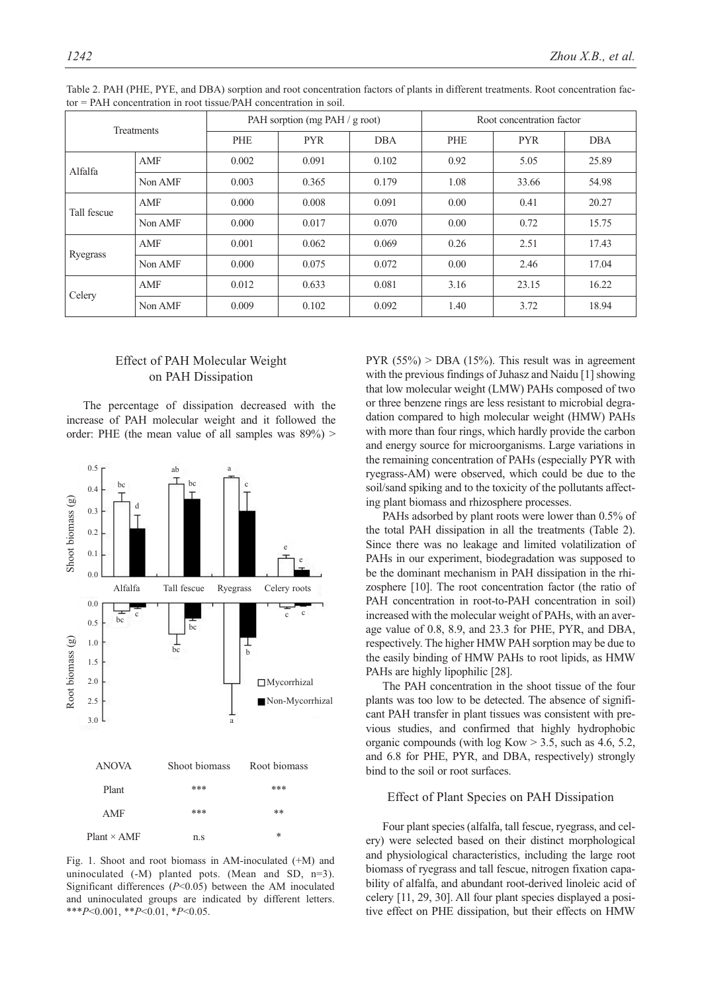| Treatments  |         | PAH sorption (mg PAH / g root) |            |            | Root concentration factor |            |            |
|-------------|---------|--------------------------------|------------|------------|---------------------------|------------|------------|
|             |         | PHE                            | <b>PYR</b> | <b>DBA</b> | PHE                       | <b>PYR</b> | <b>DBA</b> |
| Alfalfa     | AMF     | 0.002                          | 0.091      | 0.102      | 0.92                      | 5.05       | 25.89      |
|             | Non AMF | 0.003                          | 0.365      | 0.179      | 1.08                      | 33.66      | 54.98      |
| Tall fescue | AMF     | 0.000                          | 0.008      | 0.091      | 0.00                      | 0.41       | 20.27      |
|             | Non AMF | 0.000                          | 0.017      | 0.070      | 0.00                      | 0.72       | 15.75      |
| Ryegrass    | AMF     | 0.001                          | 0.062      | 0.069      | 0.26                      | 2.51       | 17.43      |
|             | Non AMF | 0.000                          | 0.075      | 0.072      | 0.00                      | 2.46       | 17.04      |
| Celery      | AMF     | 0.012                          | 0.633      | 0.081      | 3.16                      | 23.15      | 16.22      |
|             | Non AMF | 0.009                          | 0.102      | 0.092      | 1.40                      | 3.72       | 18.94      |

Table 2. PAH (PHE, PYE, and DBA) sorption and root concentration factors of plants in different treatments. Root concentration factor = PAH concentration in root tissue/PAH concentration in soil.

# Effect of PAH Molecular Weight on PAH Dissipation

The percentage of dissipation decreased with the increase of PAH molecular weight and it followed the order: PHE (the mean value of all samples was  $89\%$ ) >



Fig. 1. Shoot and root biomass in AM-inoculated (+M) and uninoculated  $(-M)$  planted pots. (Mean and SD, n=3). Significant differences (*P*<0.05) between the AM inoculated and uninoculated groups are indicated by different letters. \*\*\**P*<0.001, \*\**P*<0.01, \**P*<0.05.

PYR  $(55\%)$  > DBA  $(15\%)$ . This result was in agreement with the previous findings of Juhasz and Naidu [1] showing that low molecular weight (LMW) PAHs composed of two or three benzene rings are less resistant to microbial degradation compared to high molecular weight (HMW) PAHs with more than four rings, which hardly provide the carbon and energy source for microorganisms. Large variations in the remaining concentration of PAHs (especially PYR with ryegrass-AM) were observed, which could be due to the soil/sand spiking and to the toxicity of the pollutants affecting plant biomass and rhizosphere processes.

PAHs adsorbed by plant roots were lower than 0.5% of the total PAH dissipation in all the treatments (Table 2). Since there was no leakage and limited volatilization of PAHs in our experiment, biodegradation was supposed to be the dominant mechanism in PAH dissipation in the rhizosphere [10]. The root concentration factor (the ratio of PAH concentration in root-to-PAH concentration in soil) increased with the molecular weight of PAHs, with an average value of 0.8, 8.9, and 23.3 for PHE, PYR, and DBA, respectively. The higher HMW PAH sorption may be due to the easily binding of HMW PAHs to root lipids, as HMW PAHs are highly lipophilic [28].

The PAH concentration in the shoot tissue of the four plants was too low to be detected. The absence of significant PAH transfer in plant tissues was consistent with previous studies, and confirmed that highly hydrophobic organic compounds (with log Kow > 3.5, such as 4.6, 5.2, and 6.8 for PHE, PYR, and DBA, respectively) strongly bind to the soil or root surfaces.

# Effect of Plant Species on PAH Dissipation

Four plant species (alfalfa, tall fescue, ryegrass, and celery) were selected based on their distinct morphological and physiological characteristics, including the large root biomass of ryegrass and tall fescue, nitrogen fixation capability of alfalfa, and abundant root-derived linoleic acid of celery [11, 29, 30]. All four plant species displayed a positive effect on PHE dissipation, but their effects on HMW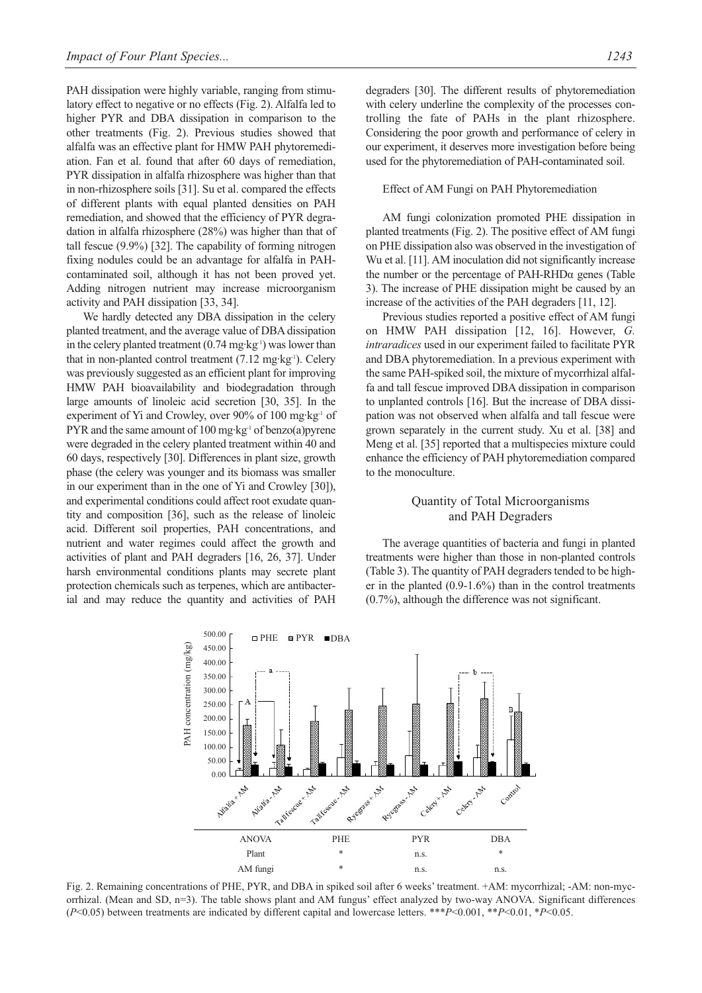PAH dissipation were highly variable, ranging from stimulatory effect to negative or no effects (Fig. 2). Alfalfa led to higher PYR and DBA dissipation in comparison to the other treatments (Fig. 2). Previous studies showed that alfalfa was an effective plant for HMW PAH phytoremediation. Fan et al. found that after 60 days of remediation, PYR dissipation in alfalfa rhizosphere was higher than that in non-rhizosphere soils [31]. Su et al. compared the effects of different plants with equal planted densities on PAH remediation, and showed that the efficiency of PYR degradation in alfalfa rhizosphere (28%) was higher than that of tall fescue (9.9%) [32]. The capability of forming nitrogen fixing nodules could be an advantage for alfalfa in PAHcontaminated soil, although it has not been proved yet. Adding nitrogen nutrient may increase microorganism activity and PAH dissipation [33, 34].

We hardly detected any DBA dissipation in the celery planted treatment, and the average value of DBA dissipation in the celery planted treatment  $(0.74 \text{ mg} \cdot \text{kg}^{-1})$  was lower than that in non-planted control treatment  $(7.12 \text{ mg} \cdot \text{kg}^{-1})$ . Celery was previously suggested as an efficient plant for improving HMW PAH bioavailability and biodegradation through large amounts of linoleic acid secretion [30, 35]. In the experiment of Yi and Crowley, over 90% of 100 mg·kg<sup>-1</sup> of PYR and the same amount of 100 mg·kg<sup>-1</sup> of benzo(a)pyrene were degraded in the celery planted treatment within 40 and 60 days, respectively [30]. Differences in plant size, growth phase (the celery was younger and its biomass was smaller in our experiment than in the one of Yi and Crowley [30]), and experimental conditions could affect root exudate quantity and composition [36], such as the release of linoleic acid. Different soil properties, PAH concentrations, and nutrient and water regimes could affect the growth and activities of plant and PAH degraders [16, 26, 37]. Under harsh environmental conditions plants may secrete plant protection chemicals such as terpenes, which are antibacterial and may reduce the quantity and activities of PAH degraders [30]. The different results of phytoremediation with celery underline the complexity of the processes controlling the fate of PAHs in the plant rhizosphere. Considering the poor growth and performance of celery in our experiment, it deserves more investigation before being used for the phytoremediation of PAH-contaminated soil.

#### Effect of AM Fungi on PAH Phytoremediation

AM fungi colonization promoted PHE dissipation in planted treatments (Fig. 2). The positive effect of AM fungi on PHE dissipation also was observed in the investigation of Wu et al. [11]. AM inoculation did not significantly increase the number or the percentage of PAH-RHDα genes (Table 3). The increase of PHE dissipation might be caused by an increase of the activities of the PAH degraders [11, 12].

Previous studies reported a positive effect of AM fungi on HMW PAH dissipation [12, 16]. However, *G. intraradices* used in our experiment failed to facilitate PYR and DBA phytoremediation. In a previous experiment with the same PAH-spiked soil, the mixture of mycorrhizal alfalfa and tall fescue improved DBA dissipation in comparison to unplanted controls [16]. But the increase of DBA dissipation was not observed when alfalfa and tall fescue were grown separately in the current study. Xu et al. [38] and Meng et al. [35] reported that a multispecies mixture could enhance the efficiency of PAH phytoremediation compared to the monoculture.

## Quantity of Total Microorganisms and PAH Degraders

The average quantities of bacteria and fungi in planted treatments were higher than those in non-planted controls (Table 3). The quantity of PAH degraders tended to be higher in the planted (0.9-1.6%) than in the control treatments (0.7%), although the difference was not significant.



Fig. 2. Remaining concentrations of PHE, PYR, and DBA in spiked soil after 6 weeks' treatment. +AM: mycorrhizal; -AM: non-mycorrhizal. (Mean and SD, n=3). The table shows plant and AM fungus' effect analyzed by two-way ANOVA. Significant differences (*P*<0.05) between treatments are indicated by different capital and lowercase letters. \*\*\**P*<0.001, \*\**P*<0.01, \**P*<0.05.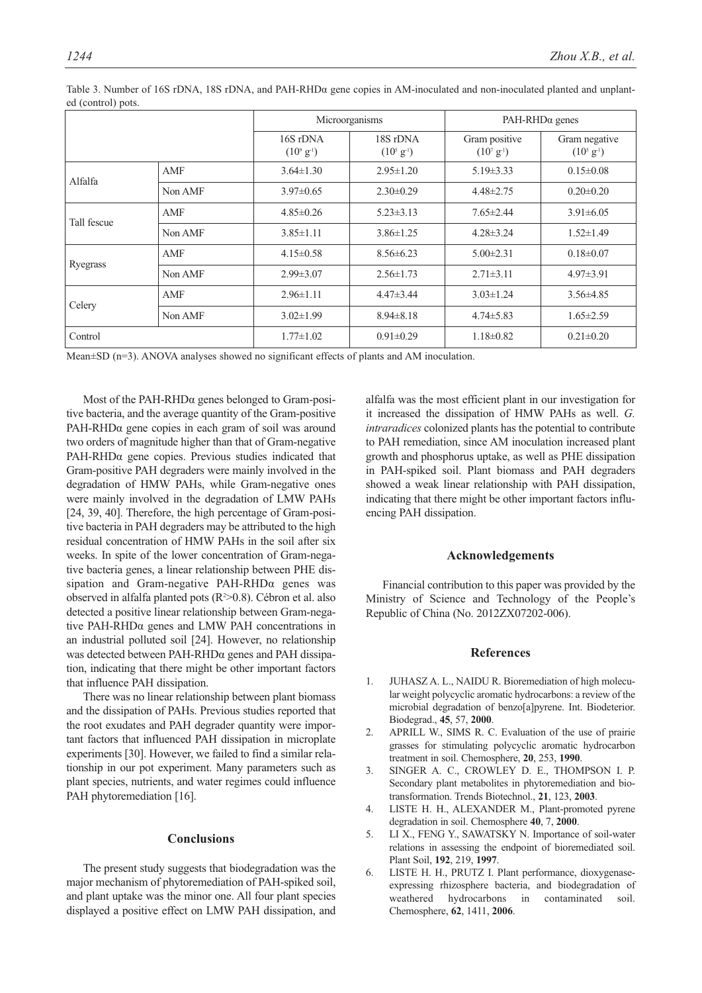|             |         |                                  | Microorganisms                        | $PAH-RHD\alpha$ genes              |                                       |  |
|-------------|---------|----------------------------------|---------------------------------------|------------------------------------|---------------------------------------|--|
|             |         | 16S rDNA<br>$(10^9 \text{ g}^1)$ | 18S rDNA<br>$(10^{5} \text{ g}^{-1})$ | Gram positive<br>$(10^{7} g^{-1})$ | Gram negative<br>$(10^5 \text{ g}^3)$ |  |
| Alfalfa     | AMF     | $3.64 \pm 1.30$                  | $2.95 \pm 1.20$                       | $5.19 \pm 3.33$                    | $0.15 \pm 0.08$                       |  |
|             | Non AMF | $3.97\pm0.65$                    | $2.30\pm0.29$                         | $4.48 \pm 2.75$                    | $0.20 \pm 0.20$                       |  |
| Tall fescue | AMF     | $4.85 \pm 0.26$                  | $5.23 \pm 3.13$                       | $7.65 \pm 2.44$                    | $3.91 \pm 6.05$                       |  |
|             | Non AMF | $3.85 \pm 1.11$                  | $3.86 \pm 1.25$                       | $4.28 \pm 3.24$                    | $1.52 \pm 1.49$                       |  |
| Ryegrass    | AMF     | $4.15 \pm 0.58$                  | $8.56 \pm 6.23$                       | $5.00 \pm 2.31$                    | $0.18 \pm 0.07$                       |  |
|             | Non AMF | $2.99 \pm 3.07$                  | $2.56 \pm 1.73$                       | $2.71 \pm 3.11$                    | $4.97\pm3.91$                         |  |
| Celery      | AMF     | $2.96 \pm 1.11$                  | $4.47 \pm 3.44$                       | $3.03 \pm 1.24$                    | $3.56\pm4.85$                         |  |
|             | Non AMF | $3.02 \pm 1.99$                  | $8.94 \pm 8.18$                       | $4.74 \pm 5.83$                    | $1.65 \pm 2.59$                       |  |
| Control     |         | $1.77 \pm 1.02$                  | $0.91 \pm 0.29$                       | $1.18 \pm 0.82$                    | $0.21 \pm 0.20$                       |  |

Table 3. Number of 16S rDNA, 18S rDNA, and PAH-RHDα gene copies in AM-inoculated and non-inoculated planted and unplanted (control) pots.

Mean±SD (n=3). ANOVA analyses showed no significant effects of plants and AM inoculation.

Most of the PAH-RHDα genes belonged to Gram-positive bacteria, and the average quantity of the Gram-positive PAH-RHDα gene copies in each gram of soil was around two orders of magnitude higher than that of Gram-negative PAH-RHDα gene copies. Previous studies indicated that Gram-positive PAH degraders were mainly involved in the degradation of HMW PAHs, while Gram-negative ones were mainly involved in the degradation of LMW PAHs [24, 39, 40]. Therefore, the high percentage of Gram-positive bacteria in PAH degraders may be attributed to the high residual concentration of HMW PAHs in the soil after six weeks. In spite of the lower concentration of Gram-negative bacteria genes, a linear relationship between PHE dissipation and Gram-negative PAH-RHDα genes was observed in alfalfa planted pots (R2 >0.8). Cébron et al. also detected a positive linear relationship between Gram-negative PAH-RHDα genes and LMW PAH concentrations in an industrial polluted soil [24]. However, no relationship was detected between PAH-RHDα genes and PAH dissipation, indicating that there might be other important factors that influence PAH dissipation.

There was no linear relationship between plant biomass and the dissipation of PAHs. Previous studies reported that the root exudates and PAH degrader quantity were important factors that influenced PAH dissipation in microplate experiments [30]. However, we failed to find a similar relationship in our pot experiment. Many parameters such as plant species, nutrients, and water regimes could influence PAH phytoremediation [16].

### **Conclusions**

The present study suggests that biodegradation was the major mechanism of phytoremediation of PAH-spiked soil, and plant uptake was the minor one. All four plant species displayed a positive effect on LMW PAH dissipation, and alfalfa was the most efficient plant in our investigation for it increased the dissipation of HMW PAHs as well. *G. intraradices* colonized plants has the potential to contribute to PAH remediation, since AM inoculation increased plant growth and phosphorus uptake, as well as PHE dissipation in PAH-spiked soil. Plant biomass and PAH degraders showed a weak linear relationship with PAH dissipation, indicating that there might be other important factors influencing PAH dissipation.

#### **Acknowledgements**

Financial contribution to this paper was provided by the Ministry of Science and Technology of the People's Republic of China (No. 2012ZX07202-006).

#### **References**

- 1. JUHASZ A. L., NAIDU R. Bioremediation of high molecular weight polycyclic aromatic hydrocarbons: a review of the microbial degradation of benzo[a]pyrene. Int. Biodeterior. Biodegrad., **45**, 57, **2000**.
- 2. APRILL W., SIMS R. C. Evaluation of the use of prairie grasses for stimulating polycyclic aromatic hydrocarbon treatment in soil. Chemosphere, **20**, 253, **1990**.
- 3. SINGER A. C., CROWLEY D. E., THOMPSON I. P. Secondary plant metabolites in phytoremediation and biotransformation. Trends Biotechnol., **21**, 123, **2003**.
- 4. LISTE H. H., ALEXANDER M., Plant-promoted pyrene degradation in soil. Chemosphere **40**, 7, **2000**.
- 5. LI X., FENG Y., SAWATSKY N. Importance of soil-water relations in assessing the endpoint of bioremediated soil. Plant Soil, **192**, 219, **1997**.
- 6. LISTE H. H., PRUTZ I. Plant performance, dioxygenaseexpressing rhizosphere bacteria, and biodegradation of weathered hydrocarbons in contaminated soil. Chemosphere, **62**, 1411, **2006**.